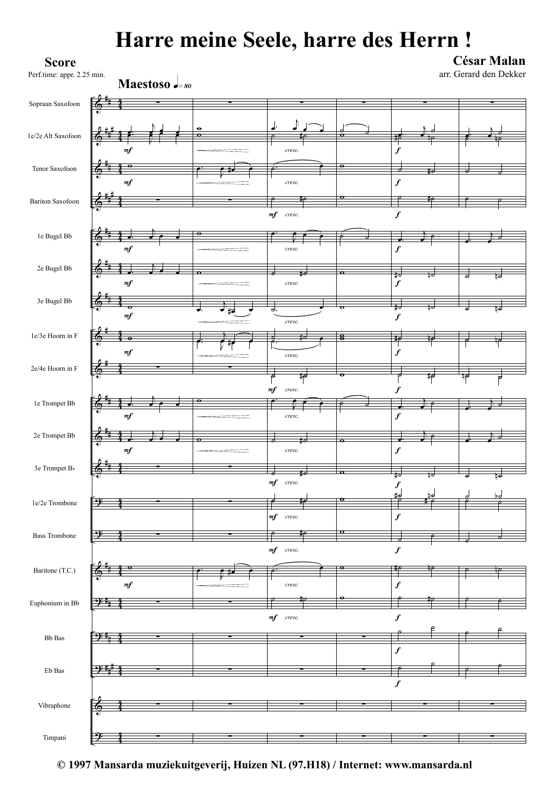## **Harre meine Seele, harre des Herrn !**



**© 1997 Mansarda muziekuitgeverij, Huizen NL (97.H18) / Internet: www.mansarda.nl**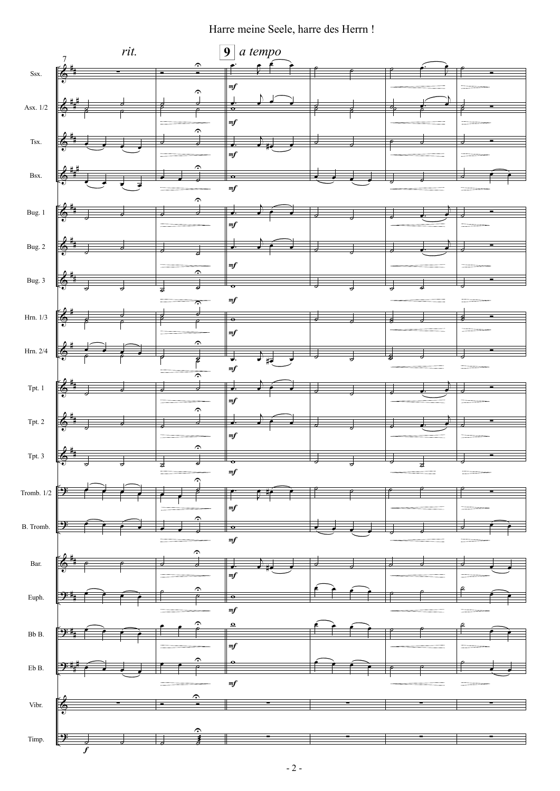Harre meine Seele, harre des Herrn !

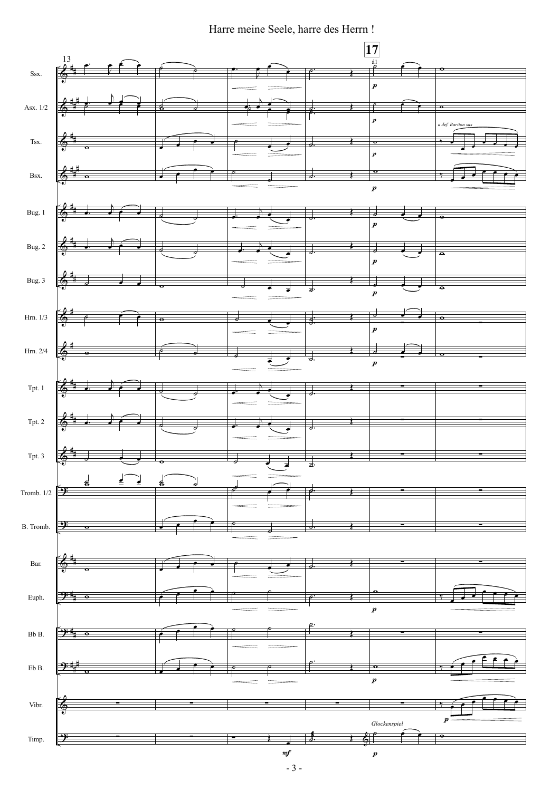Harre meine Seele, harre des Herrn !

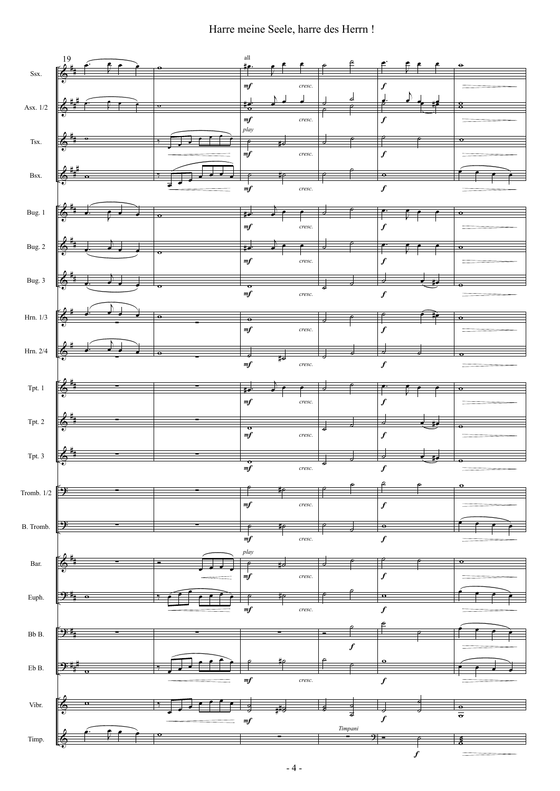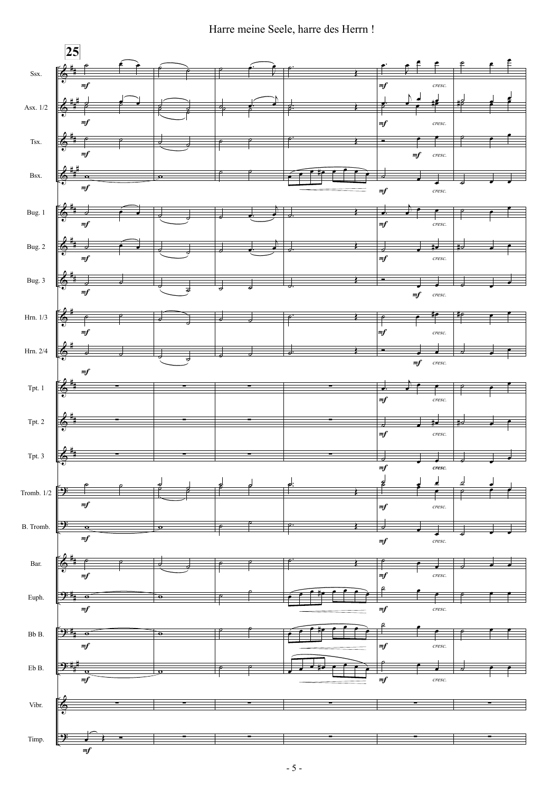Harre meine Seele, harre des Herrn !